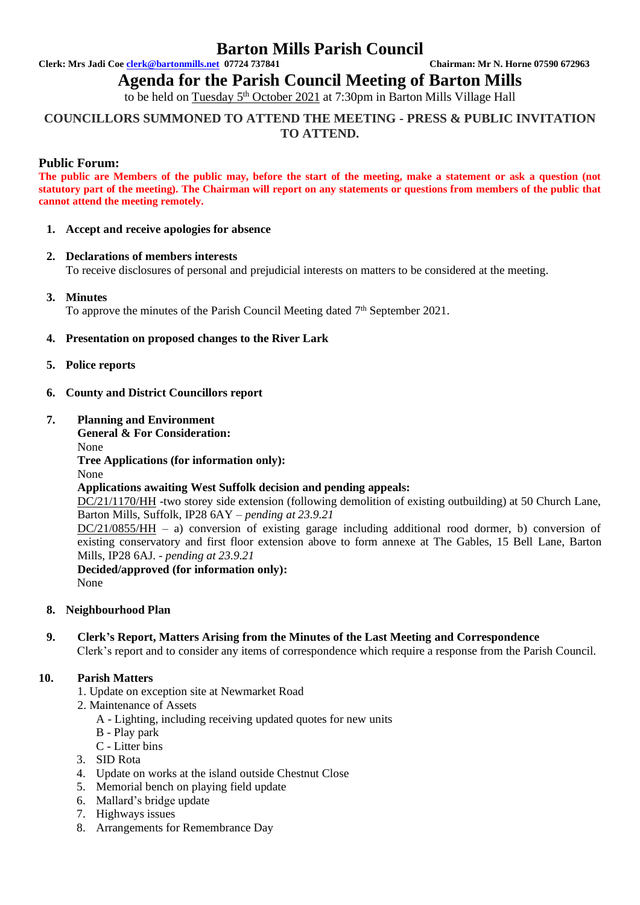## **Barton Mills Parish Council**

**Clerk: Mrs Jadi Coe [clerk@bartonmills.net](mailto:clerk@bartonmills.net) 07724 737841 Chairman: Mr N. Horne 07590 672963**

## **Agenda for the Parish Council Meeting of Barton Mills**

to be held on Tuesday 5<sup>th</sup> October 2021 at 7:30pm in Barton Mills Village Hall

## **COUNCILLORS SUMMONED TO ATTEND THE MEETING - PRESS & PUBLIC INVITATION TO ATTEND.**

## **Public Forum:**

**The public are Members of the public may, before the start of the meeting, make a statement or ask a question (not statutory part of the meeting). The Chairman will report on any statements or questions from members of the public that cannot attend the meeting remotely.**

### **1. Accept and receive apologies for absence**

### **2. Declarations of members interests**

To receive disclosures of personal and prejudicial interests on matters to be considered at the meeting.

## **3. Minutes**

To approve the minutes of the Parish Council Meeting dated 7<sup>th</sup> September 2021.

### **4. Presentation on proposed changes to the River Lark**

- **5. Police reports**
- **6. County and District Councillors report**

### **7. Planning and Environment**

**General & For Consideration:** None **Tree Applications (for information only):** None **Applications awaiting West Suffolk decision and pending appeals:** DC/21/1170/HH -two storey side extension (following demolition of existing outbuilding) at 50 Church Lane, Barton Mills, Suffolk, IP28 6AY – *pending at 23.9.21*  $DC/21/0855/HH - a$ ) conversion of existing garage including additional rood dormer, b) conversion of existing conservatory and first floor extension above to form annexe at The Gables, 15 Bell Lane, Barton Mills, IP28 6AJ. *- pending at 23.9.21* **Decided/approved (for information only):** None

#### **8. Neighbourhood Plan**

#### **9. Clerk's Report, Matters Arising from the Minutes of the Last Meeting and Correspondence** Clerk's report and to consider any items of correspondence which require a response from the Parish Council.

## **10. Parish Matters**

- 1. Update on exception site at Newmarket Road
- 2. Maintenance of Assets
	- A Lighting, including receiving updated quotes for new units
	- B Play park
	- C Litter bins
- 3. SID Rota
- 4. Update on works at the island outside Chestnut Close
- 5. Memorial bench on playing field update
- 6. Mallard's bridge update
- 7. Highways issues
- 8. Arrangements for Remembrance Day